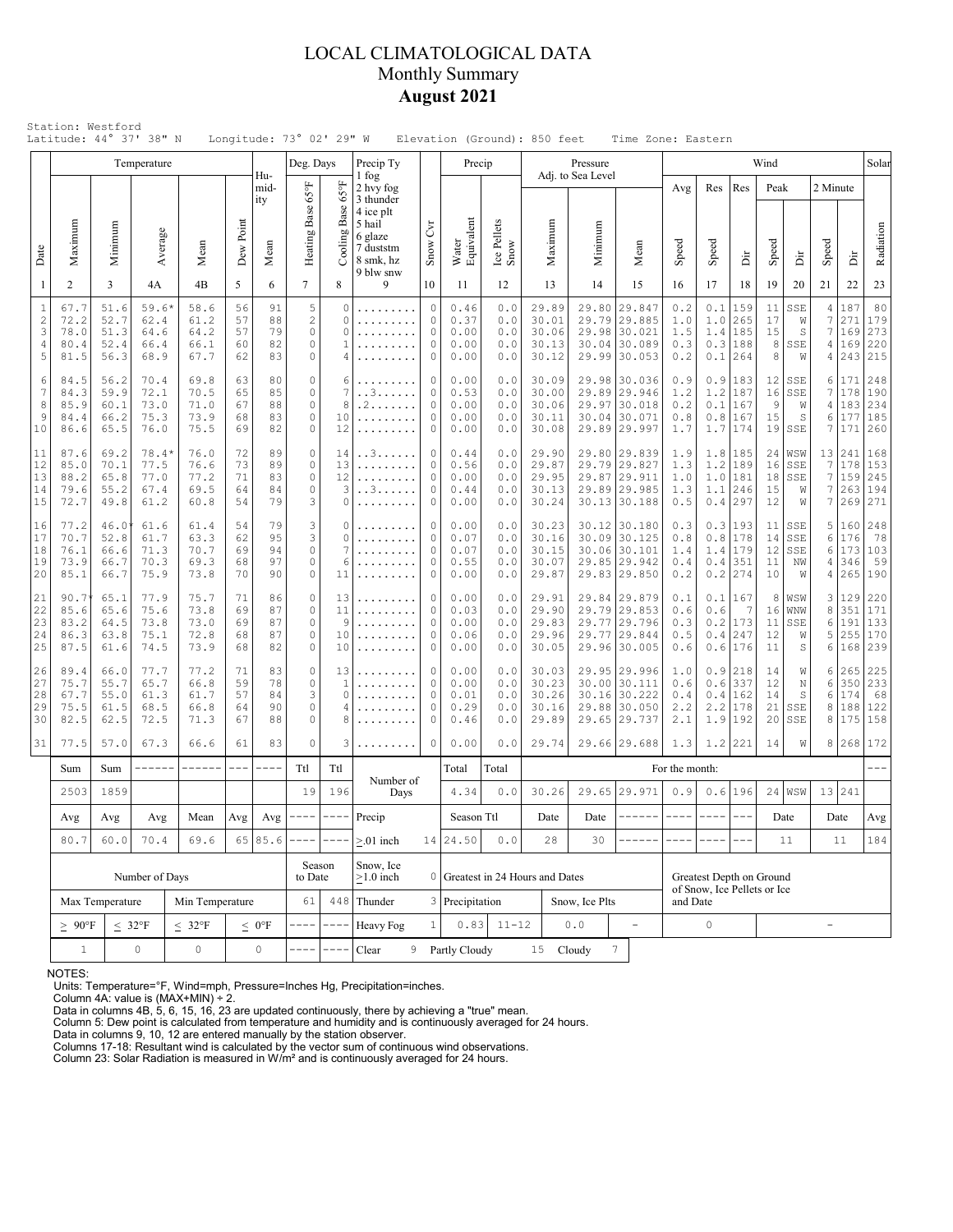# LOCAL CLIMATOLOGICAL DATA Monthly Summary **August 2021**

|                                      | Latitude: 44° 37' 38" N                                          |                                                           |                                                              |                                      |                            |                            | Longitude: 73° 02' 29" W                            |                                       |                                                                                                 |                                                                      | Elevation (Ground): 850 feet         |                                 |                                           |        |                               | Time Zone: Eastern                                                           |                                 |                                     |                                                  |                            |                                       |                          |                                    |                                 |
|--------------------------------------|------------------------------------------------------------------|-----------------------------------------------------------|--------------------------------------------------------------|--------------------------------------|----------------------------|----------------------------|-----------------------------------------------------|---------------------------------------|-------------------------------------------------------------------------------------------------|----------------------------------------------------------------------|--------------------------------------|---------------------------------|-------------------------------------------|--------|-------------------------------|------------------------------------------------------------------------------|---------------------------------|-------------------------------------|--------------------------------------------------|----------------------------|---------------------------------------|--------------------------|------------------------------------|---------------------------------|
|                                      |                                                                  |                                                           | Temperature                                                  |                                      |                            | Hu-                        | Deg. Days                                           |                                       | Precip Ty<br>1 fog                                                                              |                                                                      | Precip                               |                                 |                                           |        | Pressure<br>Adj. to Sea Level |                                                                              |                                 |                                     |                                                  | Wind                       |                                       |                          |                                    | Solar                           |
| Date                                 | Maximum                                                          | Minimum                                                   | Average                                                      | Mean                                 | Dew Point                  | mid-<br>ity<br>Mean        | Heating Base 65°F                                   | $65^{\circ}$ F<br>Base<br>Cooling 1   | 2 hvy fog<br>3 thunder<br>4 ice plt<br>5 hail<br>6 glaze<br>7 duststm<br>8 smk, hz<br>9 blw snw | Čч<br>Snow                                                           | Water<br>Equivalent                  | Ice Pellets<br>Snow             | Maximum                                   |        | Minimum                       | Mean                                                                         | Avg<br>Speed                    | Res<br>Speed                        | Res<br>ă                                         | Peak<br>Speed              | ă                                     | 2 Minute<br>Speed        | İ                                  | Radiation                       |
| $\mathbf{1}$                         | $\overline{2}$                                                   | 3                                                         | 4A                                                           | 4B                                   | 5                          | 6                          | $7\overline{ }$                                     | 8                                     | 9                                                                                               | 10                                                                   | 11                                   | 12                              | 13                                        |        | 14                            | 15                                                                           | 16                              | 17                                  | 18                                               | 19                         | 20                                    | 21                       | 22                                 | 23                              |
| $\,1\,$<br>$\sqrt{2}$<br>3<br>4<br>5 | 67.7<br>72.2<br>78.0<br>80.4<br>81.5                             | 51.6<br>52.7<br>51.3<br>52.4<br>56.3                      | $59.6*$<br>62.4<br>64.6<br>66.4<br>68.9                      | 58.6<br>61.2<br>64.2<br>66.1<br>67.7 | 56<br>57<br>57<br>60<br>62 | 91<br>88<br>79<br>82<br>83 | 5<br>$\sqrt{2}$<br>$\circ$<br>$\circ$<br>$\circ$    | $\Omega$<br>$\Omega$<br>$\Omega$<br>1 | .<br>.                                                                                          | $\circ$<br>$\circ$<br>$\circ$<br>$\circ$<br>$\mathbf 0$              | 0.46<br>0.37<br>0.00<br>0.00<br>0.00 | 0.0<br>0.0<br>0.0<br>0.0<br>0.0 | 29.89<br>30.01<br>30.06<br>30.13<br>30.12 |        | 29.80<br>29.79                | 29.847<br>29.885<br>29.98 30.021<br>30.04 30.089<br>29.99 30.053             | 0.2<br>1.0<br>1.5<br>0.3<br>0.2 | $0.1\,$<br>1.0<br>1.4<br>0.3<br>0.1 | 159<br>265<br>185<br>188<br>264                  | 11<br>17<br>15<br>8<br>8   | SSE<br>W<br>S<br>SSE<br>W             | 4<br>7<br>7<br>4<br>4    | 187<br>271<br>169<br>169<br>243    | 80<br>179<br>273<br>220<br>215  |
| 6<br>7<br>8<br>9<br>10               | 84.5<br>84.3<br>85.9<br>84.4<br>86.6                             | 56.2<br>59.9<br>60.1<br>66.2<br>65.5                      | 70.4<br>72.1<br>73.0<br>75.3<br>76.0                         | 69.8<br>70.5<br>71.0<br>73.9<br>75.5 | 63<br>65<br>67<br>68<br>69 | 80<br>85<br>88<br>83<br>82 | $\circ$<br>$\circ$<br>$\circ$<br>$\circ$<br>$\circ$ | 6<br>7<br>8<br>10<br>12               | . . 3<br>. 2<br>.                                                                               | 0<br>$\mathbf 0$<br>$\mathbf{0}$<br>$\circ$<br>$\mathbf 0$           | 0.00<br>0.53<br>0.00<br>0.00<br>0.00 | 0.0<br>0.0<br>0.0<br>0.0<br>0.0 | 30.09<br>30.00<br>30.06<br>30.11<br>30.08 |        |                               | 29.98 30.036<br>29.89 29.946<br>29.97 30.018<br>30.04 30.071<br>29.89 29.997 | 0.9<br>1.2<br>0.2<br>0.8<br>1.7 | 0.9<br>1.2<br>0.1<br>0.8<br>1.7     | 183<br>187<br>167<br> 167<br>174                 | 12<br>16<br>9<br>15        | SSE<br>SSE<br>W<br>S<br>$19$ SSE      | 6<br>7<br>4 <br>6<br>7   | 171<br>178<br>183<br>177<br>171    | 248<br>190<br>234<br>185<br>260 |
| 11<br>12<br>13<br>14<br>15           | 87.6<br>85.0<br>88.2<br>79.6<br>72.7                             | 69.2<br>70.1<br>65.8<br>55.2<br>49.8                      | $78.4*$<br>77.5<br>77.0<br>67.4<br>61.2                      | 76.0<br>76.6<br>77.2<br>69.5<br>60.8 | 72<br>73<br>71<br>64<br>54 | 89<br>89<br>83<br>84<br>79 | $\circ$<br>$\circ$<br>$\circ$<br>$\circ$<br>3       | 14<br>13<br>12<br>3<br>0              | . . 3<br>.<br>.<br>. . 3<br>.                                                                   | $\mathbf 0$<br>$\circ$<br>$\circ$<br>$\mathbf{0}$<br>$\circ$         | 0.44<br>0.56<br>0.00<br>0.44<br>0.00 | 0.0<br>0.0<br>0.0<br>0.0<br>0.0 | 29.90<br>29.87<br>29.95<br>30.13<br>30.24 |        |                               | 29.80 29.839<br>29.79 29.827<br>29.87 29.911<br>29.89 29.985<br>30.13 30.188 | 1.9<br>1.3<br>1.0<br>1.3<br>0.5 | 1.2<br>1.1                          | 1.8 185<br>189<br>$1.0$  181<br>246<br>$0.4$ 297 | 24<br>16<br>18<br>15<br>12 | WSW<br>SSE<br>SSE<br>W<br>W           | 7<br>7<br>7<br>7         | 13 241<br>178<br>159<br>263<br>269 | 168<br>153<br>245<br>194<br>271 |
| 16<br>17<br>18<br>19<br>20           | 77.2<br>70.7<br>76.1<br>73.9<br>85.1                             | 46.0<br>52.8<br>66.6<br>66.7<br>66.7                      | 61.6<br>61.7<br>71.3<br>70.3<br>75.9                         | 61.4<br>63.3<br>70.7<br>69.3<br>73.8 | 54<br>62<br>69<br>68<br>70 | 79<br>95<br>94<br>97<br>90 | 3<br>3<br>$\circ$<br>$\circ$<br>$\circ$             | 0<br>$\Omega$<br>6<br>11              | .                                                                                               | $\mathbf 0$<br>$\circ$<br>$\mathbf 0$<br>$\mathbf 0$<br>$\mathbf{0}$ | 0.00<br>0.07<br>0.07<br>0.55<br>0.00 | 0.0<br>0.0<br>0.0<br>0.0<br>0.0 | 30.23<br>30.16<br>30.15<br>30.07<br>29.87 |        |                               | 30.12 30.180<br>30.09 30.125<br>30.06 30.101<br>29.85 29.942<br>29.83 29.850 | 0.3<br>0.8<br>1.4<br>0.4<br>0.2 | 0.3<br>0.8<br>1.4<br>0.4<br>0.2     | 193<br>178<br>179<br>351<br>274                  | 14<br>12<br>11<br>10       | $11$ SSE<br>SSE<br>SSE<br>ΝW<br>W     | 5<br>6<br>6<br>4<br>4    | 160<br>176<br>173<br>346<br>265    | 248<br>78<br>103<br>59<br>190   |
| 21<br>22<br>23<br>24<br>25           | 90.7<br>85.6<br>83.2<br>86.3<br>87.5                             | 65.1<br>65.6<br>64.5<br>63.8<br>61.6                      | 77.9<br>75.6<br>73.8<br>75.1<br>74.5                         | 75.7<br>73.8<br>73.0<br>72.8<br>73.9 | 71<br>69<br>69<br>68<br>68 | 86<br>87<br>87<br>87<br>82 | $\circ$<br>$\circ$<br>$\circ$<br>$\circ$<br>$\circ$ | 13<br>11<br>9<br>10<br>10             | .<br>.                                                                                          | $\circ$<br>$\mathbf{0}$<br>$\circ$<br>$\mathbf 0$<br>$\mathbf{0}$    | 0.00<br>0.03<br>0.00<br>0.06<br>0.00 | 0.0<br>0.0<br>0.0<br>0.0<br>0.0 | 29.91<br>29.90<br>29.83<br>29.96<br>30.05 |        |                               | 29.84 29.879<br>29.79 29.853<br>29.77 29.796<br>29.77 29.844<br>29.96 30.005 | 0.1<br>0.6<br>0.3<br>0.5<br>0.6 | 0.1<br>0.6<br>0.2<br>0.4            | 167<br>7<br>173<br>247<br>0.6 176                | 8<br>16<br>11<br>12<br>11  | WSW<br>WNW<br>SSE<br>W<br>$\mathbb S$ | 3<br>8<br>6<br>5<br>6    | 129<br>351<br>191<br>255<br>168    | 220<br>171<br>133<br>170<br>239 |
| 26<br>27<br>28<br>29<br>30           | 89.4<br>75.7<br>67.7<br>75.5<br>82.5                             | 66.0<br>55.7<br>55.0<br>61.5<br>62.5                      | 77.7<br>65.7<br>61.3<br>68.5<br>72.5                         | 77.2<br>66.8<br>61.7<br>66.8<br>71.3 | 71<br>59<br>57<br>64<br>67 | 83<br>78<br>84<br>90<br>88 | $\circ$<br>$\circ$<br>3<br>$\circ$<br>$\circ$       | 13<br>1<br>$\Omega$<br>4<br>8         |                                                                                                 | $\circ$<br>$\circ$<br>$\mathbf{0}$<br>$\circ$<br>$\mathbf 0$         | 0.00<br>0.00<br>0.01<br>0.29<br>0.46 | 0.0<br>0.0<br>0.0<br>0.0<br>0.0 | 30.03<br>30.23<br>30.26<br>30.16<br>29.89 |        |                               | 29.95 29.996<br>30.00 30.111<br>30.16 30.222<br>29.88 30.050<br>29.65 29.737 | 1.0<br>0.6<br>0.4<br>2.2<br>2.1 | 0.9<br>0.6<br>0.4<br>2.2<br>1.9     | 218<br>337<br>162<br>178<br> 192                 | 14<br>12<br>14<br>21<br>20 | W<br>$\mathbb N$<br>S<br>SSE<br>SSE   | 6<br>6<br>6<br>8<br>8    | 265<br>350<br>174<br>188<br>175    | 225<br>233<br>68<br>122<br>158  |
| 31                                   | 77.5                                                             | 57.0                                                      | 67.3                                                         | 66.6                                 | 61                         | 83                         | $\circ$                                             | 3                                     | .                                                                                               | $\circ$                                                              | 0.00                                 | 0.0                             | 29.74                                     |        |                               | 29.66 29.688                                                                 | 1.3                             | 1.2                                 | 221                                              | 14                         | W                                     | 8                        |                                    | 268 172                         |
|                                      | Sum                                                              | Sum                                                       | ------<br>------<br>$\frac{1}{2}$<br>$- - - -$<br>Ttl<br>Ttl |                                      |                            |                            |                                                     | Number of                             |                                                                                                 | Total                                                                | Total                                |                                 |                                           |        |                               | For the month:                                                               |                                 |                                     |                                                  |                            |                                       |                          |                                    |                                 |
|                                      | 2503                                                             | 1859                                                      |                                                              |                                      |                            |                            | 19                                                  | 196                                   | Days                                                                                            |                                                                      | 4.34                                 | 0.0                             | 30.26                                     |        |                               | 29.65 29.971                                                                 | 0.9                             | 0.6                                 | 196                                              |                            | $24$ WSW                              |                          | 13 241                             |                                 |
|                                      | Avg                                                              | Avg<br>Avg<br>Mean<br>Avg<br>70.4<br>69.6<br>80.7<br>60.0 |                                                              |                                      |                            | 65 85.6                    | Avg $\vert$ ----                                    | $\qquad \qquad - - -$                 | Precip                                                                                          |                                                                      | Season Ttl<br>14 24.50               | $0.0$                           | Date<br>28                                |        | Date<br>30                    | ------                                                                       | $- - - - -$                     | $\frac{1}{2}$                       | $\frac{1}{2}$                                    |                            | Date<br>11                            |                          | Date<br>11                         | Avg<br>184                      |
|                                      |                                                                  | Number of Days                                            |                                                              |                                      | Season<br>to Date          |                            | $> 01$ inch<br>Snow, Ice<br>$\geq$ 1.0 inch         |                                       | 0 Greatest in 24 Hours and Dates                                                                |                                                                      |                                      |                                 |                                           |        |                               | Greatest Depth on Ground                                                     |                                 |                                     |                                                  |                            |                                       |                          |                                    |                                 |
|                                      | Max Temperature<br>Min Temperature                               |                                                           |                                                              |                                      |                            |                            | 61                                                  |                                       | 448 Thunder                                                                                     |                                                                      | 3 Precipitation                      |                                 |                                           |        | Snow, Ice Plts                |                                                                              | and Date                        | of Snow, Ice Pellets or Ice         |                                                  |                            |                                       |                          |                                    |                                 |
|                                      | $\leq 32^{\circ}F$<br>$< 32^{\circ}F$<br>$\geq~90^{\circ}\rm{F}$ |                                                           |                                                              |                                      |                            | $\leq 0$ °F                |                                                     |                                       | Heavy Fog                                                                                       | $\mathbf{1}$                                                         | 0.83                                 | $11 - 12$                       |                                           | $0.0$  |                               | $\frac{1}{2}$                                                                |                                 | 0                                   |                                                  |                            |                                       | $\overline{\phantom{0}}$ |                                    |                                 |
|                                      | 0<br>$\circ$<br>$\mathbf{1}$                                     |                                                           |                                                              |                                      |                            | 0                          |                                                     |                                       | Clear                                                                                           |                                                                      | 9 Partly Cloudy                      |                                 | 15                                        | Cloudy |                               | 7                                                                            |                                 |                                     |                                                  |                            |                                       |                          |                                    |                                 |

NOTES:

Units: Temperature=°F, Wind=mph, Pressure=Inches Hg, Precipitation=inches. Column 4A: value is (MAX+MIN) ÷ 2. Data in columns 4B, 5, 6, 15, 16, 23 are updated continuously, there by achieving a "true" mean.

Column 5: Dew point is calculated from temperature and humidity and is continuously averaged for 24 hours. Data in columns 9, 10, 12 are entered manually by the station observer.

Columns 17-18: Resultant wind is calculated by the vector sum of continuous wind observations. Column 23: Solar Radiation is measured in W/m² and is continuously averaged for 24 hours.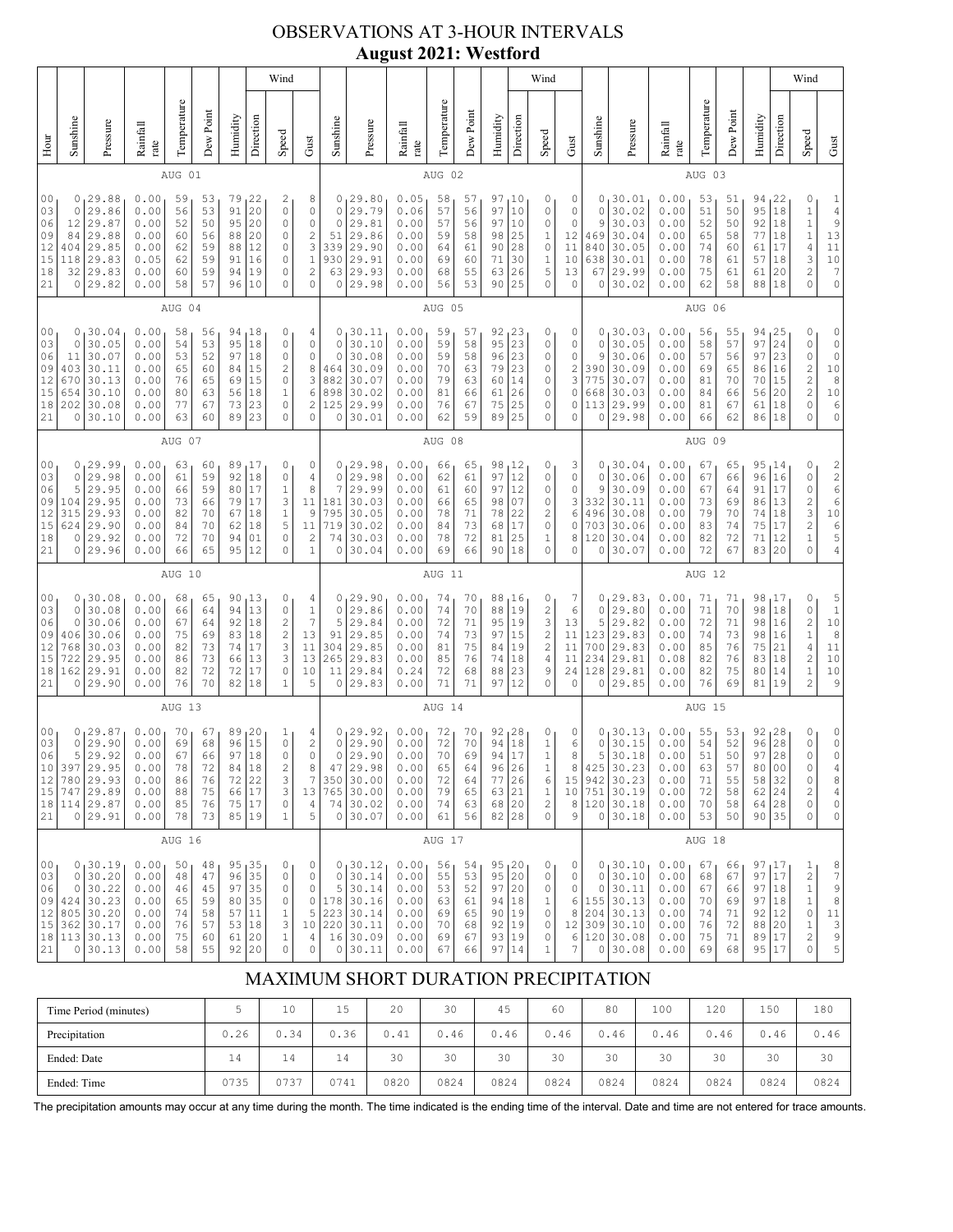# OBSERVATIONS AT 3-HOUR INTERVALS **August 2021: Westford**

|                                                          |                                                                                                                                                                                                                                                                                                                                                                                                                                                                                                                                               |                                                                                            |                                                              |                                              |                                              |                                              |                                                                                                  | Wind                                                                                                 |                                                                                                |                                                              | o                                                                                  |                                                              |                                              |                                              |                                                   |                                                                          | Wind                                                                              |                                                                      |                                                              |                                                                                 |                                                                |                                              |                                              |                                                                     |                                                                      | Wind                                                                                                                       |                                                                                                                              |
|----------------------------------------------------------|-----------------------------------------------------------------------------------------------------------------------------------------------------------------------------------------------------------------------------------------------------------------------------------------------------------------------------------------------------------------------------------------------------------------------------------------------------------------------------------------------------------------------------------------------|--------------------------------------------------------------------------------------------|--------------------------------------------------------------|----------------------------------------------|----------------------------------------------|----------------------------------------------|--------------------------------------------------------------------------------------------------|------------------------------------------------------------------------------------------------------|------------------------------------------------------------------------------------------------|--------------------------------------------------------------|------------------------------------------------------------------------------------|--------------------------------------------------------------|----------------------------------------------|----------------------------------------------|---------------------------------------------------|--------------------------------------------------------------------------|-----------------------------------------------------------------------------------|----------------------------------------------------------------------|--------------------------------------------------------------|---------------------------------------------------------------------------------|----------------------------------------------------------------|----------------------------------------------|----------------------------------------------|---------------------------------------------------------------------|----------------------------------------------------------------------|----------------------------------------------------------------------------------------------------------------------------|------------------------------------------------------------------------------------------------------------------------------|
| Hour                                                     | Sunshine                                                                                                                                                                                                                                                                                                                                                                                                                                                                                                                                      | Pressure                                                                                   | Rainfall<br>rate                                             | Temperature                                  | Dew Point                                    | Humidity                                     | Direction                                                                                        | Speed                                                                                                | Gust                                                                                           | Sunshine                                                     | Pressure                                                                           | Rainfall<br>rate                                             | Temperature                                  | Dew Point                                    | Humidity                                          | Direction                                                                | Speed                                                                             | Gust                                                                 | Sunshine                                                     | Pressure                                                                        | Rainfall<br>rate                                               | Temperature                                  | Dew Point                                    | Humidity                                                            | Direction                                                            | Speed                                                                                                                      | Gust                                                                                                                         |
|                                                          |                                                                                                                                                                                                                                                                                                                                                                                                                                                                                                                                               |                                                                                            |                                                              | AUG 01                                       |                                              |                                              |                                                                                                  |                                                                                                      |                                                                                                |                                                              |                                                                                    |                                                              | AUG 02                                       |                                              |                                                   |                                                                          |                                                                                   |                                                                      |                                                              |                                                                                 |                                                                | AUG 03                                       |                                              |                                                                     |                                                                      |                                                                                                                            |                                                                                                                              |
| 0 <sub>0</sub><br>03<br>06<br>09<br>12<br>15<br>18<br>21 | 0<br>0<br>12<br>84<br>404<br>118<br>32<br>0                                                                                                                                                                                                                                                                                                                                                                                                                                                                                                   | 29.88<br>29.86<br>29.87<br>29.88<br>29.85<br>29.83<br>29.83<br>29.82                       | 0.00<br>0.00<br>0.00<br>0.00<br>0.00<br>0.05<br>0.00<br>0.00 | 59<br>56<br>52<br>60<br>62<br>62<br>60<br>58 | 53<br>53<br>50<br>56<br>59<br>59<br>59<br>57 | 79<br>91<br>95<br>88<br>88<br>91<br>94<br>96 | 22<br>20<br>20<br>20<br>12<br>16<br>19<br>10                                                     | 2<br>$\circ$<br>$\circ$<br>0<br>0<br>0<br>$\circ$<br>$\circ$                                         | 8<br>0<br>$\mathbb O$<br>$\sqrt{2}$<br>3<br>$\mathbf{1}$<br>$\overline{\mathbf{c}}$<br>$\circ$ | 0<br>0<br>$\mathbf 0$<br>51<br>339<br>930<br>63<br>0         | 29.80<br>29.79<br>29.81<br>29.86<br>29.90<br>29.91<br>29.93<br>29.98               | 0.05<br>0.06<br>0.00<br>0.00<br>0.00<br>0.00<br>0.00<br>0.00 | 58<br>57<br>57<br>59<br>64<br>69<br>68<br>56 | 57<br>56<br>56<br>58<br>61<br>60<br>55<br>53 | 97<br>97<br>97<br>98<br>90<br>71<br>63<br>90      | ı 10<br>10<br>10<br>25<br>28<br>30<br>26<br>25                           | 0<br>0<br>0<br>1<br>0<br>1<br>5<br>0                                              | 0<br>0<br>$\mathbf 0$<br>12<br>11<br>10<br>13<br>$\mathbf 0$         | 0<br>0<br>9<br>469<br>840<br>638<br>67<br>0                  | 30.01<br>30.02<br>30.03<br>30.04<br>30.05<br>30.01<br>29.99<br>30.02            | 0.00<br>0.00<br>0.00<br>0.00<br>0.00<br>0.00<br>0.00<br>0.00   | 53<br>51<br>52<br>65<br>74<br>78<br>75<br>62 | 51<br>50<br>50<br>58<br>60<br>61<br>61<br>58 | 94<br>95<br>92<br>77<br>61<br>57<br>61<br>88                        | 22<br>18<br>18<br>18<br>17<br>18<br>20<br>18                         | 0<br>1<br>$\mathbf 1$<br>$\,1\,$<br>$\sqrt{4}$<br>3<br>$\overline{\mathbf{c}}$<br>0                                        | $\mathbf{1}$<br>$\sqrt{4}$<br>$\mathsf 9$<br>$13$<br>$\begin{array}{c} 1 \ 1 \\ 1 \ 0 \end{array}$<br>7<br>$\mathbb O$       |
|                                                          |                                                                                                                                                                                                                                                                                                                                                                                                                                                                                                                                               |                                                                                            |                                                              | AUG 04                                       |                                              |                                              |                                                                                                  |                                                                                                      |                                                                                                |                                                              |                                                                                    |                                                              | AUG 05                                       |                                              |                                                   |                                                                          |                                                                                   |                                                                      |                                                              |                                                                                 |                                                                | AUG 06                                       |                                              |                                                                     |                                                                      |                                                                                                                            |                                                                                                                              |
| 03<br>21                                                 | 0<br>30.04<br>0.00<br>94<br>18<br>00<br>58<br>56<br>0<br>18<br>$\mathbf 0$<br>30.05<br>0.00<br>95<br>$\circ$<br>54<br>53<br>$\circ$<br>06<br>30.07<br>0.00<br>53<br>52<br>97<br>18<br>11<br>30.11<br>$\overline{\mathbf{c}}$<br>09<br>403<br>0.00<br>15<br>65<br>60<br>84<br>$12\,$<br>30.13<br>$\circ$<br>670<br>0.00<br>76<br>65<br>69<br>15<br>15<br>30.10<br>0.00<br>80<br>63<br>56<br>18<br>$\mathbf 1$<br>654<br>$\circ$<br>18<br>202<br>30.08<br>0.00<br>77<br>67<br>73<br>23<br>63<br>60<br>89<br>23<br>$\circ$<br>0<br>30.10<br>0.00 |                                                                                            |                                                              |                                              |                                              |                                              | 4<br>$\mathbb O$<br>$\mathbb O$<br>8<br>3<br>6<br>$\overline{c}$<br>$\circ$                      | 0<br>$\circ$<br>0<br>464<br>882<br>898<br>125<br>0                                                   | 30.11<br>30.10<br>30.08<br>30.09<br>30.07<br>30.02<br>29.99<br>30.01                           | 0.00<br>0.00<br>0.00<br>0.00<br>0.00<br>0.00<br>0.00<br>0.00 | 59<br>59<br>59<br>70<br>79<br>81<br>76<br>62                                       | 57<br>58<br>58<br>63<br>63<br>66<br>67<br>59                 | 92<br>95<br>96<br>79<br>60<br>61<br>75<br>89 | 23<br>23<br>23<br>23<br>14<br>26<br>25<br>25 | 0<br>0<br>0<br>0<br>0<br>0<br>0<br>0              | 0<br>0<br>0<br>2<br>3<br>0<br>0<br>0                                     | 0<br>0<br>9<br>390<br>775<br>668<br>113<br>0                                      | 30.03<br>30.05<br>30.06<br>30.09<br>30.07<br>30.03<br>29.99<br>29.98 | 0.00<br>0.00<br>0.00<br>0.00<br>0.00<br>0.00<br>0.00<br>0.00 | 56<br>58<br>57<br>69<br>81<br>84<br>81<br>66                                    | 55<br>57<br>56<br>65<br>70<br>66<br>67<br>62                   | 94<br>97<br>97<br>86<br>70<br>56<br>61<br>86 | 25<br>24<br>23<br>16<br>15<br>20<br>18<br>18 | 0<br>0<br>0<br>$\begin{array}{c} 2 \\ 2 \\ 2 \end{array}$<br>0<br>0 | 0<br>$\mathbb O$<br>$\circ$<br>$10$<br>8<br>$10$<br>6<br>$\mathsf O$ |                                                                                                                            |                                                                                                                              |
|                                                          | AUG 07                                                                                                                                                                                                                                                                                                                                                                                                                                                                                                                                        |                                                                                            |                                                              |                                              |                                              |                                              |                                                                                                  |                                                                                                      |                                                                                                |                                                              | AUG 08                                                                             |                                                              |                                              |                                              |                                                   |                                                                          |                                                                                   |                                                                      |                                                              | AUG 09                                                                          |                                                                |                                              |                                              |                                                                     |                                                                      |                                                                                                                            |                                                                                                                              |
| 00<br>03<br>06<br>09<br>12<br>15<br>18<br>21             | 0<br>5<br>104<br>315<br>624<br>0<br>0                                                                                                                                                                                                                                                                                                                                                                                                                                                                                                         | 0, 29.99<br>29.98<br>29.95<br>29.95<br>29.93<br>29.90<br>29.92<br>29.96                    | 0.00<br>0.00<br>0.00<br>0.00<br>0.00<br>0.00<br>0.00<br>0.00 | 63<br>61<br>66<br>73<br>82<br>84<br>72<br>66 | 60<br>59<br>59<br>66<br>70<br>70<br>70<br>65 | 89<br>92<br>80<br>79<br>67<br>62<br>94<br>95 | 17<br>18<br>17<br>17<br>18<br>18<br>01<br>12                                                     | 0<br>$\circ$<br>$\mathbf 1$<br>3<br>$1\,$<br>5<br>$\circ$<br>$\Omega$                                | 0<br>$\sqrt{4}$<br>8<br>11<br>9<br>11<br>$\overline{c}$<br>$\mathbf{1}$                        | 0<br>$\circ$<br>7<br>181<br>795<br>719<br>74<br>0            | 129.98<br>29.98<br>29.99<br>30.03<br>30.05<br>30.02<br>30.03<br>30.04              | 0.00<br>0.00<br>0.00<br>0.00<br>0.00<br>0.00<br>0.00<br>0.00 | 66<br>62<br>61<br>66<br>78<br>84<br>78<br>69 | 65<br>61<br>60<br>65<br>71<br>73<br>72<br>66 | 98<br>97<br>97<br>98<br>78<br>68<br>81<br>90      | 12ء<br>12<br>12<br>07<br>22<br>17<br>25<br>18                            | 0<br>0<br>0<br>0<br>2<br>$\mathbb O$<br>1<br>0                                    | 3<br>0<br>0<br>3<br>6<br>0<br>8<br>0                                 | 0<br>0<br>9<br>332<br>496<br>703<br>120<br>0                 | 130.04<br>30.06<br>30.09<br>30.11<br>30.08<br>30.06<br>30.04<br>30.07           | 0.00<br>0.00<br>0.00<br>0.00<br>0.00<br>0.00<br>0.00<br>0.00   | 67<br>67<br>67<br>73<br>79<br>83<br>82<br>72 | 65<br>66<br>64<br>69<br>70<br>74<br>72<br>67 | 96<br>91<br>86<br>74<br>75<br>71<br>83                              | 95, 14<br>16<br>17<br>13<br>18<br>17<br>12<br>20                     | 0<br>0<br>0<br>$\overline{\mathbf{c}}$<br>3<br>$\frac{2}{1}$<br>0                                                          | 2266<br>$1\,0$<br>$\begin{array}{c} 6 \\ 5 \end{array}$<br>4                                                                 |
|                                                          |                                                                                                                                                                                                                                                                                                                                                                                                                                                                                                                                               |                                                                                            |                                                              | AUG 10                                       |                                              |                                              |                                                                                                  |                                                                                                      |                                                                                                |                                                              |                                                                                    |                                                              | AUG 11                                       |                                              |                                                   |                                                                          |                                                                                   |                                                                      |                                                              |                                                                                 |                                                                | AUG 12                                       |                                              |                                                                     |                                                                      |                                                                                                                            |                                                                                                                              |
| 00<br>03<br>06<br>09<br>12<br>15<br>18<br>21             | 0<br>0<br>406<br>768<br>722<br>162<br>0                                                                                                                                                                                                                                                                                                                                                                                                                                                                                                       | 0, 30.08<br>30.08<br>30.06<br>30.06<br>30.03<br>29.95<br>29.91<br>29.90                    | 0.00<br>0.00<br>0.00<br>0.00<br>0.00<br>0.00<br>0.00<br>0.00 | 68<br>66<br>67<br>75<br>82<br>86<br>82<br>76 | 65<br>64<br>64<br>69<br>73<br>73<br>72<br>70 | 90<br>94<br>92<br>83<br>74<br>66<br>72<br>82 | 13<br>13<br>18<br>18<br>17<br>13<br>17<br>18                                                     | 0<br>$\circ$<br>$\overline{\mathbf{c}}$<br>$\sqrt{2}$<br>$\mathsf 3$<br>3<br>$\circ$<br>$\mathbf{1}$ | 4<br>$\,1$<br>7<br>13<br>11<br>13<br>10<br>5                                                   | 0<br>5<br>91<br>304<br>265<br>11<br>0                        | 0, 29.90<br>29.86<br>29.84<br>29.85<br>29.85<br>29.83<br>29.84<br>29.83            | 0.00<br>0.00<br>0.00<br>0.00<br>0.00<br>0.00<br>0.24<br>0.00 | 74<br>74<br>72<br>74<br>81<br>85<br>72<br>71 | 70<br>70<br>71<br>73<br>75<br>76<br>68<br>71 | 88<br>88<br>95<br>97<br>84<br>74<br>88<br>97      | 16<br>19<br>19<br>15<br>19<br>18<br>23<br>12                             | 0<br>2<br>3<br>$\overline{\mathcal{L}}$<br>$\overline{c}$<br>$\sqrt{4}$<br>9<br>0 | 7<br>6<br>13<br>11<br>11<br>11<br>24<br>$\circ$                      | 0<br>0<br>5<br>123<br>700<br>234<br>128<br>0                 | 29.83<br>29.80<br>29.82<br>29.83<br>29.83<br>29.81<br>29.81<br>29.85            | 0.00<br>0.00<br>0.00<br>0.00<br>0.00<br>0.08<br>0.00<br>0.00   | 71<br>71<br>72<br>74<br>85<br>82<br>82<br>76 | 71<br>70<br>71<br>73<br>76<br>76<br>75<br>69 | 98<br>98<br>98<br>98<br>75<br>83<br>80<br>81                        | 17 ن<br>18<br>16<br>16<br>21<br>18<br>14<br>19                       | 0<br>0<br>$\sqrt{2}$<br>$\frac{1}{4}$<br>$\overline{\mathbf{c}}$<br>$\mathbf 1$<br>$\overline{c}$                          | 5<br>$\,1\,$<br>$1\,0$<br>$\,$ 8 $\,$<br>11<br>$10$<br>$10$<br>9                                                             |
|                                                          |                                                                                                                                                                                                                                                                                                                                                                                                                                                                                                                                               | AUG 13                                                                                     |                                                              |                                              |                                              |                                              |                                                                                                  |                                                                                                      |                                                                                                |                                                              | AUG 14                                                                             |                                                              |                                              |                                              |                                                   |                                                                          |                                                                                   |                                                                      |                                                              | AUG 15                                                                          |                                                                |                                              |                                              |                                                                     |                                                                      |                                                                                                                            |                                                                                                                              |
| 00<br>03<br>06<br>10<br>12<br>15<br>18<br>21             | 0<br>5<br>397                                                                                                                                                                                                                                                                                                                                                                                                                                                                                                                                 | 0,29.87<br>29.90<br>29.92<br>29.95<br>780 29.93<br>747 29.89<br>114 29.87<br>0 29.91       | 0.00<br>0.00<br>0.00<br>0.00<br>0.00<br>0.00<br>0.00<br>0.00 | 70<br>69<br>67<br>78<br>86<br>88<br>85<br>78 | 67<br>68<br>66<br>72<br>76<br>75<br>76<br>73 | 89<br>96<br>97<br>84<br>75                   | 20<br>15<br>$1\,8$<br>18<br>$\begin{array}{c c} 72 & 22 \\ 66 & 17 \end{array}$<br>$17$<br>85 19 | 1<br>$\circ$<br>$\circ$<br>$\overline{\mathbf{c}}$<br>$\mathfrak{Z}$<br>3<br>$\circ$<br>$\mathbf{1}$ | 4<br>$\sqrt{2}$<br>$\mathbb O$<br>8<br>$\boldsymbol{7}$<br>13<br>$\sqrt{4}$<br>5               | 0<br>0<br>$\mathbb O$<br>47<br>765<br>74<br>0                | 29.92<br>29.90<br>29.90<br>29.98<br>350 30.00<br>30.00<br>30.02<br>30.07           | 0.00<br>0.00<br>0.00<br>0.00<br>0.00<br>0.00<br>0.00<br>0.00 | 72<br>72<br>70<br>65<br>72<br>79<br>74<br>61 | 70<br>70<br>69<br>64<br>64<br>65<br>63<br>56 | 92<br>94<br>94<br>96<br>77<br>63<br>68<br>$82$ 28 | 28 ر<br>18<br>17<br>26<br>$\begin{array}{c} 26 \\ 21 \end{array}$<br> 20 | 0<br>$\,1$<br>$\mathbf{1}$<br>1<br>6<br>$\,1$<br>$\overline{\mathbf{c}}$<br>0     | 0<br>6<br>8<br>8<br>15<br>10<br>8<br>9                               | 0<br>0<br>5<br>425<br>942<br>751<br>$\circ$                  | 30.13<br>30.15<br>30.18<br>30.23<br>30.23<br>30.19<br>120 30.18<br>30.18        | 0.00<br>0.00<br>0.00<br>0.00<br>0.00<br>$0.00$<br>0.00<br>0.00 | 55<br>54<br>51<br>63<br>71<br>72<br>70<br>53 | 53<br>52<br>50<br>57<br>55<br>58<br>58<br>50 | 92, 28<br>96<br>97<br>80<br>58<br>62   24<br>64 28<br>90 35         | 28<br>28<br>0 <sub>0</sub><br>32                                     | 0<br>0<br>0<br>0<br>0<br>2<br>0<br>0                                                                                       | 0<br>$\circ$<br>$\circ$<br>4<br>8<br>$\overline{4}$<br>$\mathbb O$<br>$\mathbb O$                                            |
|                                                          |                                                                                                                                                                                                                                                                                                                                                                                                                                                                                                                                               |                                                                                            |                                                              | AUG 16                                       |                                              |                                              |                                                                                                  |                                                                                                      |                                                                                                |                                                              |                                                                                    |                                                              | AUG 17                                       |                                              |                                                   |                                                                          |                                                                                   |                                                                      |                                                              |                                                                                 |                                                                | AUG 18                                       |                                              |                                                                     |                                                                      |                                                                                                                            |                                                                                                                              |
| 00<br>03<br>06<br>09<br>12<br>15<br>18<br>21             | $\circ$<br>$\circ$<br>805<br>0                                                                                                                                                                                                                                                                                                                                                                                                                                                                                                                | 0, 30.19<br>30.20<br>30.22<br>$424 \mid 30.23$<br>30.20<br>362 30.17<br>113 30.13<br>30.13 | 0.00<br>0.00<br>0.00<br>0.00<br>0.00<br>0.00<br>0.00<br>0.00 | 50<br>48<br>46<br>65<br>74<br>76<br>75<br>58 | 48<br>47<br>45<br>59<br>58<br>57<br>60<br>55 | 95<br>96<br>97<br>80<br>57<br>53<br>61<br>92 | $\begin{array}{r} 35 \\ 35 \end{array}$<br>35<br>35<br>11<br>18<br>20<br>20                      | 0<br>$\circ$<br>$\circ$<br>0<br>$\mathbf{1}$<br>3<br>$\,1$<br>$\mathbb O$                            | 0<br>$\mathbb O$<br>$\mathbb O$<br>0<br>5<br>10<br>4<br>$\mathbb O$                            | $\circ$<br>5<br>223<br>$\mathbb O$                           | 0, 30.12<br>30.14<br>30.14<br>178 30.16<br>30.14<br>220 30.11<br>16 30.09<br>30.11 | 0.00<br>0.00<br>0.00<br>0.00<br>0.00<br>0.00<br>0.00<br>0.00 | 56<br>55<br>53<br>63<br>69<br>70<br>69<br>67 | 54<br>53<br>52<br>61<br>65<br>68<br>67<br>66 | 95<br>95<br>97<br>94<br>90<br>92<br>93<br>97      | 1 <sup>20</sup><br> 20<br> 20<br>18<br> 19<br>19<br>19<br>14             | 0<br>$\circ$<br>0<br>$\,1$<br>0<br>0<br>$\mathbb O$<br>$\mathbf 1$                | 0<br>0<br>0<br>6<br>8<br>12<br>6<br>7                                | 0<br>0<br>155<br>204<br>$\circ$                              | 0, 30.10<br>30.10<br>30.11<br>30.13<br>30.13<br>309 30.10<br>120 30.08<br>30.08 | 0.00<br>0.00<br>0.00<br>0.00<br>0.00<br>0.00<br>0.00<br>0.00   | 67<br>68<br>67<br>70<br>74<br>76<br>75<br>69 | 66<br>67<br>66<br>69<br>71<br>72<br>71<br>68 | 97,17<br>97<br>97 18<br>97<br>92<br>88<br>89<br>95 17               | 17<br>18<br>12<br>20<br> 17                                          | $\mathbf{1}$<br>$\overline{\mathbf{c}}$<br>$\mathbf 1$<br>$\mathbf 1$<br>0<br>$\mathbf{1}$<br>$\overline{\mathbf{c}}$<br>0 | 8<br>$\boldsymbol{7}$<br>9<br>$\,$ 8 $\,$<br>$\begin{array}{c} 11 \\ 3 \end{array}$<br>$\begin{array}{c} 9 \\ 5 \end{array}$ |

# MAXIMUM SHORT DURATION PRECIPITATION

| Time Period (minutes) |      | 10   | 15<br>∸ | 20   | 30   | 45   | 60   | 80   | 100  | 120  | 150  | 180  |
|-----------------------|------|------|---------|------|------|------|------|------|------|------|------|------|
| Precipitation         | 0.26 | 0.34 | 0.36    | 0.41 | 0.46 | 0.46 | 0.46 | 0.46 | 0.46 | 0.46 | 0.46 | 0.46 |
| Ended: Date           | 14   | 14   | 14      | 30   | 30   | 30   | 30   | 30   | 30   | 30   | 30   | 30   |
| Ended: Time           | 0735 | 0737 | 0741    | 0820 | 0824 | 0824 | 0824 | 0824 | 0824 | 0824 | 0824 | 0824 |

The precipitation amounts may occur at any time during the month. The time indicated is the ending time of the interval. Date and time are not entered for trace amounts.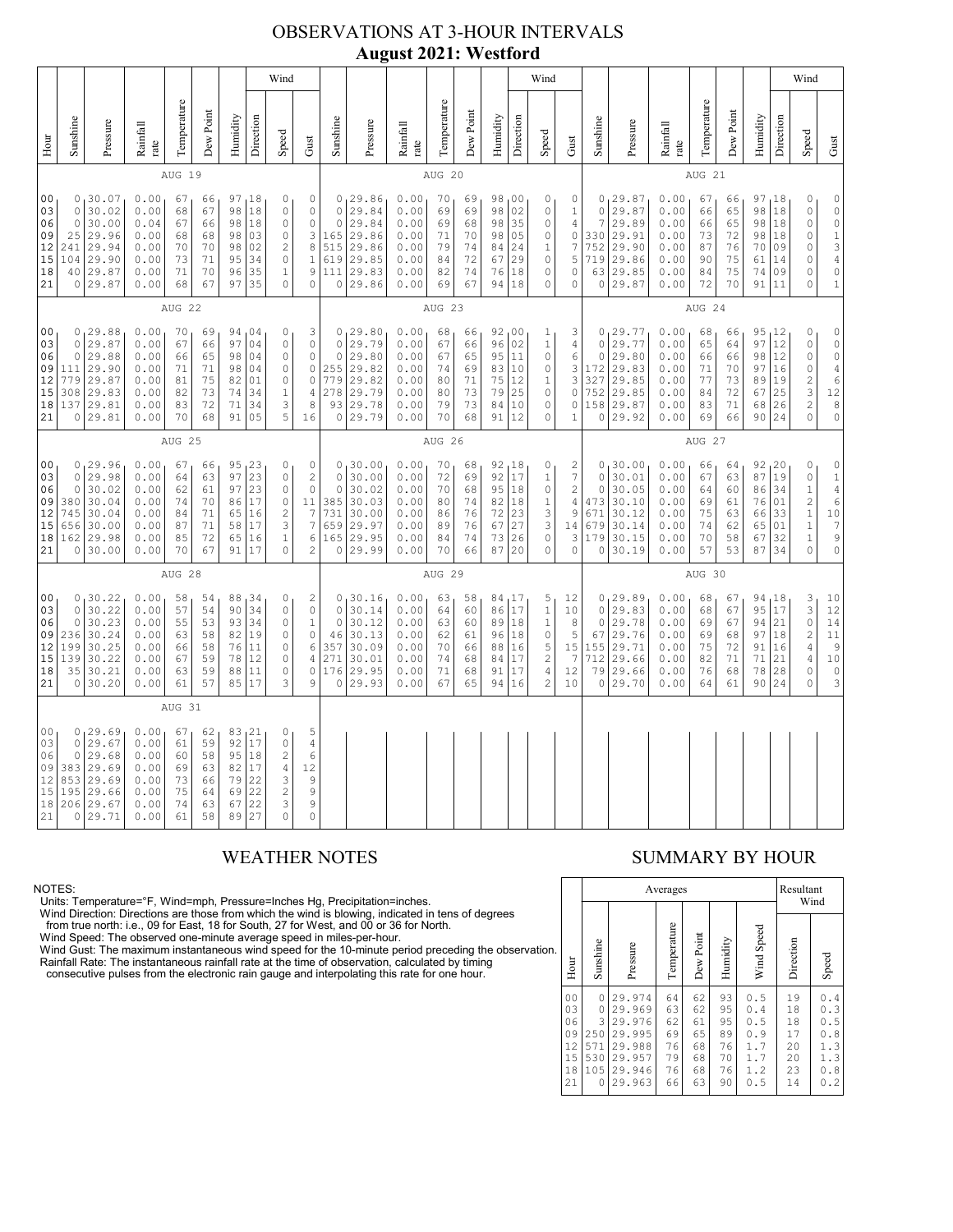# OBSERVATIONS AT 3-HOUR INTERVALS **August 2021: Westford**

|                                                          |                                                                                                                                                                                                                                                                                                                                                                                                                                                                                                      |                                                                                |                                                              |                                              |                                              |                                                 |                                                 | Wind                                                                |                                                                                                     |                                                              |                                                                          |                                                              |                                                 |                                              |                                                             |                                                                                        | Wind                                                                                        |                                                                            |                                                              |                                                                             |                                                              |                                                 |                                              |                                                                                      |                                                                                                                    | Wind                                                                                                                       |                                                                                                                    |
|----------------------------------------------------------|------------------------------------------------------------------------------------------------------------------------------------------------------------------------------------------------------------------------------------------------------------------------------------------------------------------------------------------------------------------------------------------------------------------------------------------------------------------------------------------------------|--------------------------------------------------------------------------------|--------------------------------------------------------------|----------------------------------------------|----------------------------------------------|-------------------------------------------------|-------------------------------------------------|---------------------------------------------------------------------|-----------------------------------------------------------------------------------------------------|--------------------------------------------------------------|--------------------------------------------------------------------------|--------------------------------------------------------------|-------------------------------------------------|----------------------------------------------|-------------------------------------------------------------|----------------------------------------------------------------------------------------|---------------------------------------------------------------------------------------------|----------------------------------------------------------------------------|--------------------------------------------------------------|-----------------------------------------------------------------------------|--------------------------------------------------------------|-------------------------------------------------|----------------------------------------------|--------------------------------------------------------------------------------------|--------------------------------------------------------------------------------------------------------------------|----------------------------------------------------------------------------------------------------------------------------|--------------------------------------------------------------------------------------------------------------------|
| Hour                                                     | Sunshine                                                                                                                                                                                                                                                                                                                                                                                                                                                                                             | Pressure                                                                       | Rainfall<br>rate                                             | Temperature                                  | Dew Point                                    | Humidity                                        | Direction                                       | Speed                                                               | Gust                                                                                                | Sunshine                                                     | Pressure                                                                 | Rainfall<br>rate                                             | Temperature                                     | Dew Point                                    | Humidity                                                    | Direction                                                                              | Speed                                                                                       | Gust                                                                       | Sunshine                                                     | Pressure                                                                    | Rainfall<br>rate                                             | Temperature                                     | Dew Point                                    | Humidity                                                                             | Direction                                                                                                          | Speed                                                                                                                      | Gust                                                                                                               |
|                                                          |                                                                                                                                                                                                                                                                                                                                                                                                                                                                                                      |                                                                                |                                                              | AUG 19                                       |                                              |                                                 |                                                 |                                                                     |                                                                                                     |                                                              |                                                                          |                                                              | AUG 20                                          |                                              |                                                             |                                                                                        |                                                                                             |                                                                            |                                                              |                                                                             |                                                              | AUG 21                                          |                                              |                                                                                      |                                                                                                                    |                                                                                                                            |                                                                                                                    |
| 0 <sub>0</sub><br>03<br>06<br>09<br>12<br>15<br>18<br>21 | 0.00<br>0, 30.07<br>67<br>97, 18<br>0<br>66<br>18<br>$\circ$<br>0.00<br>30.02<br>68<br>67<br>98<br>0<br>$\circ$<br>30.00<br>0.04<br>66<br>98<br>18<br>$\mathbb O$<br>67<br>25<br>29.96<br>0.00<br>68<br>98<br>03<br>0<br>68<br>$\sqrt{2}$<br>241<br>29.94<br>0.00<br>70<br>70<br>98<br>02<br>$\mathbf 1$<br>29.90<br>0.00<br>71<br>34<br>$\mathbb O$<br>104<br>73<br>95<br>40 29.87<br>70<br>35<br>$\mathbf{1}$<br>0.00<br>71<br>96<br>0 29.87<br>0.00<br>68<br>67<br>97<br>35<br>$\circ$<br>$\circ$ |                                                                                |                                                              |                                              |                                              |                                                 | 0<br>0<br>$\mathbb O$<br>3<br>$\,8\,$<br>9      | $\circ$<br>$\circ$<br>165<br>515<br>619<br>111<br>0                 | 0, 29.86<br>29.84<br>29.84<br>29.86<br>29.86<br>29.85<br>29.83<br>29.86                             | 0.00<br>0.00<br>0.00<br>0.00<br>0.00<br>0.00<br>0.00<br>0.00 | 70<br>69<br>69<br>71<br>79<br>84<br>82<br>69                             | 69<br>69<br>68<br>70<br>74<br>72<br>74<br>67                 | 98,00<br>98<br>98<br>98<br>84<br>67<br>76<br>94 | 02<br>35<br>05<br>24<br>29<br> 18<br> 18     | 0<br>0<br>0<br>0<br>$\mathbf{1}$<br>$\circ$<br>$\circ$<br>0 | 0<br>$\mathbf 1$<br>$\overline{4}$<br>$\circ$<br>$\boldsymbol{7}$<br>5<br>0<br>$\circ$ | $\circ$<br>$\overline{7}$<br>330<br>752<br>719<br>63<br>$\circ$                             | 0, 29.87<br>29.87<br>29.89<br>29.91<br>29.90<br>29.86<br>29.85<br>29.87    | 0.00<br>0.00<br>0.00<br>0.00<br>0.00<br>0.00<br>0.00<br>0.00 | 67<br>66<br>66<br>73<br>87<br>90<br>84<br>72                                | 66<br>65<br>65<br>72<br>76<br>75<br>75<br>70                 | 97,18<br>98<br>98<br>98<br>70<br>61<br>74<br>91 | 18<br>18<br>18<br>09<br>14<br>09<br> 11      | 0<br>$\mathbb O$<br>$\circ$<br>$\mathbb O$<br>0<br>$\circ$<br>$\circ$<br>$\mathbf 0$ | $\mathbb O$<br>$\circ$<br>$\circ$<br>$\begin{array}{c} 1 \\ 3 \end{array}$<br>$\overline{4}$<br>$\circ$<br>$\,1\,$ |                                                                                                                            |                                                                                                                    |
|                                                          |                                                                                                                                                                                                                                                                                                                                                                                                                                                                                                      |                                                                                |                                                              | AUG 22                                       |                                              |                                                 |                                                 |                                                                     |                                                                                                     |                                                              |                                                                          |                                                              | AUG 23                                          |                                              |                                                             |                                                                                        |                                                                                             |                                                                            |                                                              |                                                                             |                                                              | AUG 24                                          |                                              |                                                                                      |                                                                                                                    |                                                                                                                            |                                                                                                                    |
| 00<br>03<br>06<br>09<br>12<br>15<br>18<br>21             | $\circ$<br>0<br>111<br>779<br>308                                                                                                                                                                                                                                                                                                                                                                                                                                                                    | 0, 29.88<br>29.87<br>29.88<br>29.90<br>29.87<br> 29.83<br>137 29.81<br>0 29.81 | 0.00<br>0.00<br>0.00<br>0.00<br>0.00<br>0.00<br>0.00<br>0.00 | 70<br>67<br>66<br>71<br>81<br>82<br>83<br>70 | 69<br>66<br>65<br>71<br>75<br>73<br>72<br>68 | 97<br>98<br>98<br>82<br>74<br>71<br>91          | 94 04<br>04<br>04<br>04<br>01<br>34<br>34<br>05 | 0<br>$\mathbb O$<br>0<br>0<br>0<br>$\mathbf 1$<br>3<br>5            | 3<br>$\circ$<br>$\circ$<br>$\mathbb O$<br>$\circ$<br>4<br>8<br>16                                   | $\circ$<br>$\circ$<br>255<br>779<br>278<br>93<br>0           | 0, 29.80<br>29.79<br>29.80<br>29.82<br>29.82<br>29.79<br>29.78<br>29.79  | 0.00<br>0.00<br>0.00<br>0.00<br>0.00<br>0.00<br>0.00<br>0.00 | 68<br>67<br>67<br>74<br>80<br>80<br>79<br>70    | 66<br>66<br>65<br>69<br>71<br>73<br>73<br>68 | 92,00<br>96<br>95<br>83 10<br>75<br>79<br>84<br>91          | 02<br> 11<br>12<br>25<br> 10<br>12                                                     | $\,1$<br>$1\,$<br>$\mathbb O$<br>0<br>1<br>$\mathbb O$<br>0<br>0                            | 3<br>4<br>6<br>$\mathbf{3}$<br>3<br>$\mathbb O$<br>0<br>1                  | $\circ$<br>$\circ$<br>172<br>327<br>752<br>0                 | 0, 29.77<br>29.77<br>29.80<br>29.83<br>29.85<br>29.85<br>158 29.87<br>29.92 | 0.00<br>0.00<br>0.00<br>0.00<br>0.00<br>0.00<br>0.00<br>0.00 | 68<br>65<br>66<br>71<br>77<br>84<br>83<br>69    | 66<br>64<br>66<br>70<br>73<br>72<br>71<br>66 | 95<br>97<br>98<br>97<br>89<br>67<br>68<br>90 24                                      | 12<br>12<br>12<br>16<br>19<br>25<br>26                                                                             | 0<br>$\circ$<br>$\mathbb O$<br>$\mathbb O$<br>$\overline{c}$<br>$\ensuremath{\mathsf{3}}$<br>$\overline{c}$<br>$\mathbf 0$ | $\circ$<br>$\circ$<br>$\mathbb O$<br>$\sqrt{4}$<br>$\overline{6}$<br>12<br>$\overline{8}$<br>$\circ$               |
|                                                          |                                                                                                                                                                                                                                                                                                                                                                                                                                                                                                      |                                                                                |                                                              | AUG 25                                       |                                              |                                                 |                                                 |                                                                     |                                                                                                     |                                                              | AUG 26                                                                   |                                                              |                                                 |                                              |                                                             |                                                                                        | AUG 27                                                                                      |                                                                            |                                                              |                                                                             |                                                              |                                                 |                                              |                                                                                      |                                                                                                                    |                                                                                                                            |                                                                                                                    |
| 00<br>03<br>06<br>09<br>12<br>15<br>18<br>21             | 0<br>$\circ$<br>745<br>656<br>162                                                                                                                                                                                                                                                                                                                                                                                                                                                                    | 0, 29.96<br>29.98<br>30.02<br>380 30.04<br>30.04<br>30.00<br>29.98<br>0 30.00  | 0.00<br>0.00<br>0.00<br>0.00<br>0.00<br>0.00<br>0.00<br>0.00 | 67<br>64<br>62<br>74<br>84<br>87<br>85<br>70 | 66<br>63<br>61<br>70<br>71<br>71<br>72<br>67 | 95<br>97<br>97<br>86<br>65<br>58<br>65<br>91    | 123<br>23<br>23<br>17<br>16<br>17<br>16<br>17   | 0<br>0<br>$\circ$<br>0<br>$\overline{c}$<br>3<br>$\,1\,$<br>$\circ$ | 0<br>$\overline{c}$<br>$\circ$<br>11<br>$\boldsymbol{7}$<br>$\boldsymbol{7}$<br>6<br>$\overline{2}$ | $\circ$<br>$\circ$<br>385<br>731<br>659<br>165<br>0          | 0, 30.00<br>30.00<br>30.02<br>30.03<br>30.00<br>29.97<br>29.95<br>29.99  | 0.00<br>0.00<br>0.00<br>0.00<br>0.00<br>0.00<br>0.00<br>0.00 | 70<br>72<br>70<br>80<br>86<br>89<br>84<br>70    | 68<br>69<br>68<br>74<br>76<br>76<br>74<br>66 | 92,18<br>92 17<br>95<br>82 18<br>72<br>67<br>73<br>87       | 18<br>23<br>27<br>26<br>20                                                             | 0<br>1<br>$\mathbb O$<br>1<br>3<br>$\ensuremath{\mathsf{3}}$<br>$\mathbb O$<br>0            | 2<br>$\boldsymbol{7}$<br>$\sqrt{2}$<br>$\overline{4}$<br>9<br>14<br>3<br>0 | $\circ$<br>$\circ$<br>473<br>671<br>679<br>179<br>0          | 0, 30.00<br>30.01<br>30.05<br>30.10<br>30.12<br>30.14<br>30.15<br>30.19     | 0.00<br>0.00<br>0.00<br>0.00<br>0.00<br>0.00<br>0.00<br>0.00 | 66<br>67<br>64<br>69<br>75<br>74<br>70<br>57    | 64<br>63<br>60<br>61<br>63<br>62<br>58<br>53 | 92, 20<br>87<br>86<br>76<br>66<br>65<br>67<br>87                                     | 19<br>34<br>01<br>33<br>01<br>32<br>34                                                                             | 0<br>$\mathbb O$<br>$1\,$<br>$\overline{c}$<br>$1\,$<br>$\mathbf{1}$<br>$1\,$<br>$\mathbf 0$                               | $\mathbb O$<br>$\mathbbm{1}$<br>$\overline{4}$<br>$\epsilon$<br>$10$<br>$\overline{7}$<br>9<br>$\mathsf{O}\xspace$ |
|                                                          |                                                                                                                                                                                                                                                                                                                                                                                                                                                                                                      |                                                                                |                                                              | AUG 28                                       |                                              |                                                 |                                                 |                                                                     |                                                                                                     |                                                              |                                                                          |                                                              | AUG 29                                          |                                              |                                                             |                                                                                        |                                                                                             |                                                                            |                                                              |                                                                             |                                                              | AUG 30                                          |                                              |                                                                                      |                                                                                                                    |                                                                                                                            |                                                                                                                    |
| 00<br>03<br>06<br>09<br>12<br>15<br>18<br>21             | $\circ$<br>$\circ$<br>236<br>199<br>139<br>35<br>0                                                                                                                                                                                                                                                                                                                                                                                                                                                   | 0, 30.22<br>30.22<br>30.23<br>30.24<br>30.25<br>30.22<br> 30.21<br>30.20       | 0.00<br>0.00<br>0.00<br>0.00<br>0.00<br>0.00<br>0.00<br>0.00 | 58<br>57<br>55<br>63<br>66<br>67<br>63<br>61 | 54<br>54<br>53<br>58<br>58<br>59<br>59<br>57 | 90<br>93<br>82<br>76<br>78<br>88<br>85          | 88,34<br>34<br>34<br>19<br>11<br>12<br>11<br>17 | 0<br>$\mathbb O$<br>$\mathbb O$<br>0<br>0<br>0<br>$\circ$<br>3      | $\overline{c}$<br>$\mathbb O$<br>1<br>$\mathbb O$<br>$\epsilon$<br>4<br>$\circ$<br>9                | $\circ$<br>0<br>46<br>357<br>271<br>176<br>0                 | 0, 30, 16<br>30.14<br>30.12<br>30.13<br>30.09<br>30.01<br>29.95<br>29.93 | 0.00<br>0.00<br>0.00<br>0.00<br>0.00<br>0.00<br>0.00<br>0.00 | 63<br>64<br>63<br>62<br>70<br>74<br>71<br>67    | 58<br>60<br>60<br>61<br>66<br>68<br>68<br>65 | 84,17<br>86 17<br>89 18<br>96<br>88<br>84<br>91<br>94       | 18<br> 16<br>17<br>17<br>16                                                            | 5<br>$\,1\,$<br>1<br>$\mathbb O$<br>5<br>$\overline{c}$<br>$\overline{4}$<br>$\overline{c}$ | 12<br>10<br>8<br>5<br>15<br>7<br>12<br>10                                  | $\circ$<br>$\circ$<br>67<br>155<br>712<br>79<br>0            | 0, 29.89<br>29.83<br>29.78<br>29.76<br>29.71<br>29.66<br>29.66<br>29.70     | 0.00<br>0.00<br>0.00<br>0.00<br>0.00<br>0.00<br>0.00<br>0.00 | 68<br>68<br>69<br>69<br>75<br>82<br>76<br>64    | 67<br>67<br>67<br>68<br>72<br>71<br>68<br>61 | 94<br>95<br>94<br>97<br>91<br>71<br>78<br>90                                         | 18<br>17<br>21<br>18<br>16<br>21<br>28<br>24                                                                       | 3<br>3<br>$\circ$<br>$\overline{c}$<br>$\sqrt{4}$<br>$\overline{4}$<br>$\circ$<br>$\circ$                                  | 10<br>12<br>14<br>11<br>$\begin{bmatrix} 9 \\ 10 \end{bmatrix}$<br>$\mathbb O$<br>3                                |
|                                                          |                                                                                                                                                                                                                                                                                                                                                                                                                                                                                                      |                                                                                |                                                              | AUG 31                                       |                                              |                                                 |                                                 |                                                                     |                                                                                                     |                                                              |                                                                          |                                                              |                                                 |                                              |                                                             |                                                                                        |                                                                                             |                                                                            |                                                              |                                                                             |                                                              |                                                 |                                              |                                                                                      |                                                                                                                    |                                                                                                                            |                                                                                                                    |
| 00<br>03<br>06<br>09<br>12<br>15<br>18<br>21             | 0<br>0<br>383<br>853<br>195<br>206                                                                                                                                                                                                                                                                                                                                                                                                                                                                   | 0, 29.69<br>29.67<br>29.68<br> 29.69<br>29.69<br>29.66<br>29.67<br>0 29.71     | 0.00<br>0.00<br>0.00<br>0.00<br>0.00<br>0.00<br>0.00<br>0.00 | 67<br>61<br>60<br>69<br>73<br>75<br>74<br>61 | 62<br>59<br>58<br>63<br>66<br>64<br>63<br>58 | 83,21<br>92<br>95<br>82<br>79<br>69<br>67<br>89 | 17<br>18<br>17<br>22<br>22<br>22<br>27          | 0<br>$\circ$<br>$\sqrt{2}$<br>4<br>3<br>$\sqrt{2}$<br>3<br>$\Omega$ | 5<br>$\sqrt{4}$<br>6<br>12<br>$\mathsf 9$<br>9<br>9<br>$\Omega$                                     |                                                              |                                                                          |                                                              |                                                 |                                              |                                                             |                                                                                        |                                                                                             |                                                                            |                                                              |                                                                             |                                                              |                                                 |                                              |                                                                                      |                                                                                                                    |                                                                                                                            |                                                                                                                    |

NOTES:<br>Units: Temperature=°F, Wind=mph, Pressure=Inches Hg, Precipitation=inches.<br>Units: Temperature=°F, Wind=mph, Pressure=Inches Hg, Precipitation=inches.<br>
Yind Direction: Directions are those from which the wind is blow

### WEATHER NOTES SUMMARY BY HOUR

|    |                                                          |                                                     | Averages                                                                     | Resultant<br>Wind                            |                                              |                                              |                                                      |                                              |                                                      |
|----|----------------------------------------------------------|-----------------------------------------------------|------------------------------------------------------------------------------|----------------------------------------------|----------------------------------------------|----------------------------------------------|------------------------------------------------------|----------------------------------------------|------------------------------------------------------|
| ì. | Hour                                                     | Sunshine                                            | Pressure                                                                     | Temperature                                  | Dew Point                                    | Humidity                                     | Wind Speed                                           | Direction                                    | Speed                                                |
|    | 0 <sub>0</sub><br>03<br>06<br>09<br>12<br>15<br>18<br>21 | 0<br>0<br>3<br>250<br>571<br>530<br>105<br>$\Omega$ | 29.974<br>29.969<br>29.976<br>29.995<br>29.988<br>29.957<br>29.946<br>29.963 | 64<br>63<br>62<br>69<br>76<br>79<br>76<br>66 | 62<br>62<br>61<br>65<br>68<br>68<br>68<br>63 | 93<br>95<br>95<br>89<br>76<br>70<br>76<br>90 | 0.5<br>0.4<br>0.5<br>0.9<br>1.7<br>1.7<br>1.2<br>0.5 | 19<br>18<br>18<br>17<br>20<br>20<br>23<br>14 | 0.4<br>0.3<br>0.5<br>0.8<br>1.3<br>1.3<br>0.8<br>0.2 |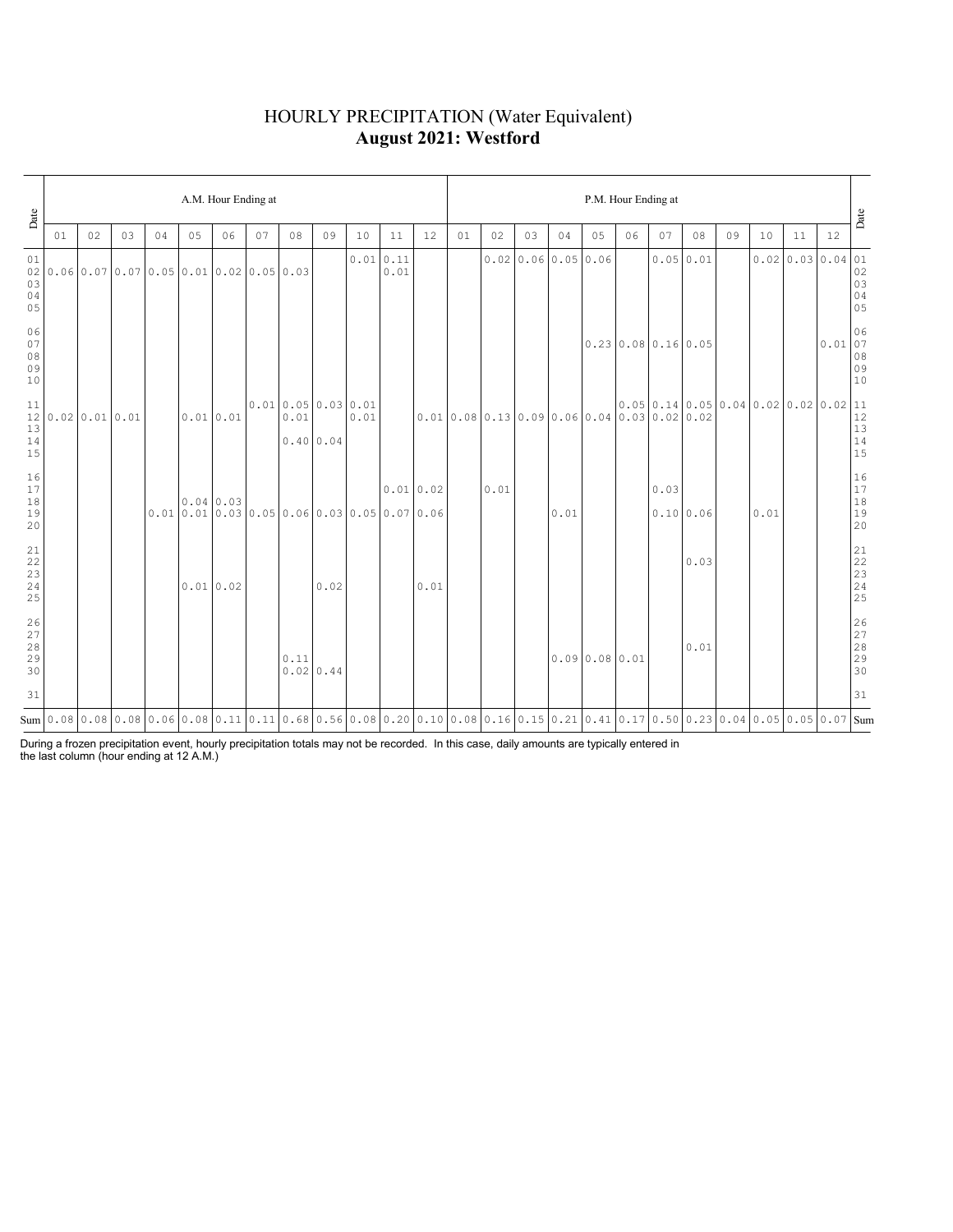### HOURLY PRECIPITATION (Water Equivalent) **August 2021: Westford**

| Date                                                                                     |    | A.M. Hour Ending at |    |    |    |           |                                           |                          |           |      |                  |          |                                                                                                                                      |      |    | P.M. Hour Ending at |              |                                      |      |           |    |      |    |                                                                                                              |                                  |  |  |  |
|------------------------------------------------------------------------------------------|----|---------------------|----|----|----|-----------|-------------------------------------------|--------------------------|-----------|------|------------------|----------|--------------------------------------------------------------------------------------------------------------------------------------|------|----|---------------------|--------------|--------------------------------------|------|-----------|----|------|----|--------------------------------------------------------------------------------------------------------------|----------------------------------|--|--|--|
|                                                                                          | 01 | 02                  | 03 | 04 | 05 | 06        | 07                                        | 08                       | 09        | 10   | 11               | 12       | 01                                                                                                                                   | 02   | 03 | 04                  | 05           | 06                                   | 07   | 08        | 09 | 10   | 11 | 12                                                                                                           | Date                             |  |  |  |
| 01<br>02<br>03<br>04<br>05                                                               |    |                     |    |    |    |           | $0.06$ 0.07 0.07 0.05 0.01 0.02 0.05 0.03 |                          |           |      | 0.010.11<br>0.01 |          |                                                                                                                                      |      |    | 0.020.060.050.06    |              |                                      |      | 0.0500.01 |    |      |    | $0.02 \mid 0.03 \mid 0.04 \mid 01$                                                                           | $02$<br>03<br>03<br>04<br>05     |  |  |  |
| 06<br>07<br>08<br>09<br>10                                                               |    |                     |    |    |    |           |                                           |                          |           |      |                  |          |                                                                                                                                      |      |    |                     |              | $0.23 \mid 0.08 \mid 0.16 \mid 0.05$ |      |           |    |      |    | $\left  \begin{array}{c} 0.01 \\ 0.01 \\ 08 \\ 09 \\ \end{array} \right $                                    | 06<br>10                         |  |  |  |
| 11<br>12<br>13<br>14<br>15                                                               |    | $0.02$ 0.01 0.01    |    |    |    | 0.01 0.01 |                                           | 0.010.050.030.01<br>0.01 | 0.40 0.04 | 0.01 |                  |          | 0.010.080.130.090.060.040.030.020.02                                                                                                 |      |    |                     |              |                                      |      |           |    |      |    | $\begin{bmatrix} 0.05 & 0.14 & 0.05 & 0.04 & 0.02 & 0.02 & 0.02 & 11 & 12 & 13 & 14 & 15 & 15 \end{bmatrix}$ |                                  |  |  |  |
| 16<br>17<br>18<br>19<br>20                                                               |    |                     |    |    |    | 0.04 0.03 | 0.010.010.030.050.060.030.050.070.06      |                          |           |      |                  | 0.010.02 |                                                                                                                                      | 0.01 |    | 0.01                |              |                                      | 0.03 | 0.10 0.06 |    | 0.01 |    |                                                                                                              | 16<br>17<br>18<br>19<br>19<br>20 |  |  |  |
| $\begin{array}{c} 21 \\ 22 \end{array}$<br>$\begin{array}{c} 23 \\ 24 \end{array}$<br>25 |    |                     |    |    |    | 0.010.02  |                                           |                          | 0.02      |      |                  | 0.01     |                                                                                                                                      |      |    |                     |              |                                      |      | 0.03      |    |      |    |                                                                                                              |                                  |  |  |  |
| $\frac{26}{27}$<br>28<br>29<br>30                                                        |    |                     |    |    |    |           |                                           | 0.11                     | 0.020.44  |      |                  |          |                                                                                                                                      |      |    |                     | 0.090.080.01 |                                      |      | 0.01      |    |      |    |                                                                                                              | 26<br>27<br>28<br>29<br>29<br>30 |  |  |  |
| 31                                                                                       |    |                     |    |    |    |           |                                           |                          |           |      |                  |          |                                                                                                                                      |      |    |                     |              |                                      |      |           |    |      |    |                                                                                                              | 31                               |  |  |  |
|                                                                                          |    |                     |    |    |    |           |                                           |                          |           |      |                  |          | Sum 0.08 0.08 0.08 0.06 0.08 0.11 0.11 0.68 0.56 0.08 0.20 0.10 0.08 0.16 0.15 0.21 0.41 0.17 0.50 0.23 0.04 0.05 0.05 0.05 0.07 Sum |      |    |                     |              |                                      |      |           |    |      |    |                                                                                                              |                                  |  |  |  |

During a frozen precipitation event, hourly precipitation totals may not be recorded. In this case, daily amounts are typically entered in the last column (hour ending at 12 A.M.)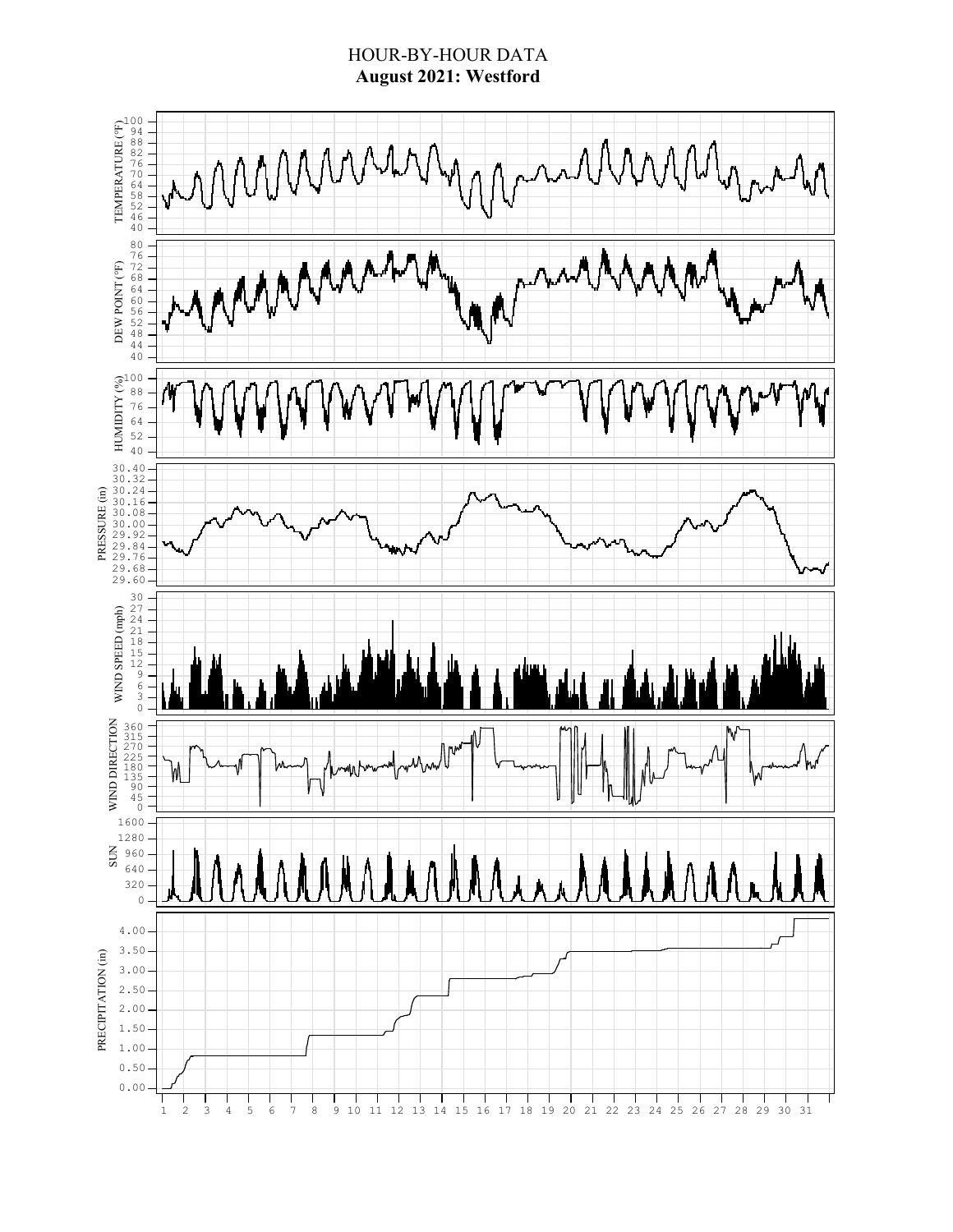### HOUR-BY-HOUR DATA **August 2021: Westford**